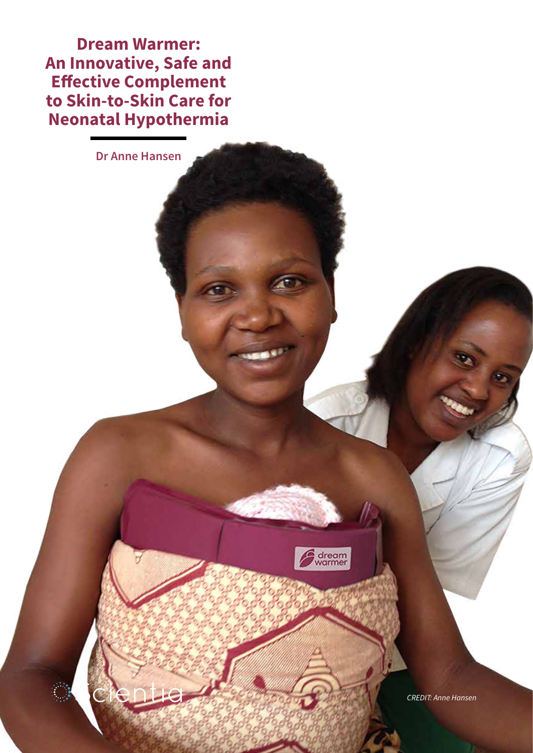**Dream Warmer: An Innovative, Safe and Effective Complement to Skin-to-Skin Care for Neonatal Hypothermia**

**Dr Anne Hansen**



*CREDIT: Anne Hansen*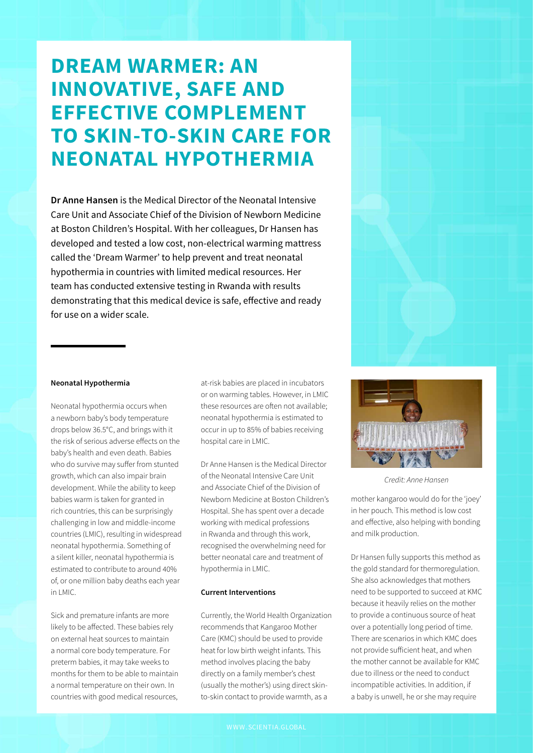# **DREAM WARMER: AN INNOVATIVE, SAFE AND EFFECTIVE COMPLEMENT TO SKIN-TO-SKIN CARE FOR NEONATAL HYPOTHERMIA**

**Dr Anne Hansen** is the Medical Director of the Neonatal Intensive Care Unit and Associate Chief of the Division of Newborn Medicine at Boston Children's Hospital. With her colleagues, Dr Hansen has developed and tested a low cost, non-electrical warming mattress called the 'Dream Warmer' to help prevent and treat neonatal hypothermia in countries with limited medical resources. Her team has conducted extensive testing in Rwanda with results demonstrating that this medical device is safe, effective and ready for use on a wider scale.



### **Neonatal Hypothermia**

Neonatal hypothermia occurs when a newborn baby's body temperature drops below 36.5°C, and brings with it the risk of serious adverse effects on the baby's health and even death. Babies who do survive may suffer from stunted growth, which can also impair brain development. While the ability to keep babies warm is taken for granted in rich countries, this can be surprisingly challenging in low and middle-income countries (LMIC), resulting in widespread neonatal hypothermia. Something of a silent killer, neonatal hypothermia is estimated to contribute to around 40% of, or one million baby deaths each year in LMIC.

Sick and premature infants are more likely to be affected. These babies rely on external heat sources to maintain a normal core body temperature. For preterm babies, it may take weeks to months for them to be able to maintain a normal temperature on their own. In countries with good medical resources,

at-risk babies are placed in incubators or on warming tables. However, in LMIC these resources are often not available; neonatal hypothermia is estimated to occur in up to 85% of babies receiving hospital care in LMIC.

Dr Anne Hansen is the Medical Director of the Neonatal Intensive Care Unit and Associate Chief of the Division of Newborn Medicine at Boston Children's Hospital. She has spent over a decade working with medical professions in Rwanda and through this work, recognised the overwhelming need for better neonatal care and treatment of hypothermia in LMIC.

#### **Current Interventions**

Currently, the World Health Organization recommends that Kangaroo Mother Care (KMC) should be used to provide heat for low birth weight infants. This method involves placing the baby directly on a family member's chest (usually the mother's) using direct skinto-skin contact to provide warmth, as a



*Credit: Anne Hansen*

mother kangaroo would do for the 'joey' in her pouch. This method is low cost and effective, also helping with bonding and milk production.

Dr Hansen fully supports this method as the gold standard for thermoregulation. She also acknowledges that mothers need to be supported to succeed at KMC because it heavily relies on the mother to provide a continuous source of heat over a potentially long period of time. There are scenarios in which KMC does not provide sufficient heat, and when the mother cannot be available for KMC due to illness or the need to conduct incompatible activities. In addition, if a baby is unwell, he or she may require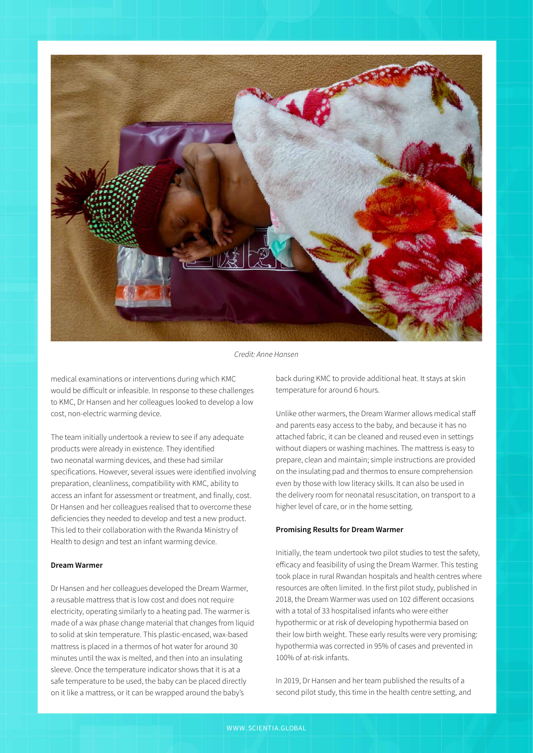

*Credit: Anne Hansen*

medical examinations or interventions during which KMC would be difficult or infeasible. In response to these challenges to KMC, Dr Hansen and her colleagues looked to develop a low cost, non-electric warming device.

The team initially undertook a review to see if any adequate products were already in existence. They identified two neonatal warming devices, and these had similar specifications. However, several issues were identified involving preparation, cleanliness, compatibility with KMC, ability to access an infant for assessment or treatment, and finally, cost. Dr Hansen and her colleagues realised that to overcome these deficiencies they needed to develop and test a new product. This led to their collaboration with the Rwanda Ministry of Health to design and test an infant warming device.

# **Dream Warmer**

Dr Hansen and her colleagues developed the Dream Warmer, a reusable mattress that is low cost and does not require electricity, operating similarly to a heating pad. The warmer is made of a wax phase change material that changes from liquid to solid at skin temperature. This plastic-encased, wax-based mattress is placed in a thermos of hot water for around 30 minutes until the wax is melted, and then into an insulating sleeve. Once the temperature indicator shows that it is at a safe temperature to be used, the baby can be placed directly on it like a mattress, or it can be wrapped around the baby's

back during KMC to provide additional heat. It stays at skin temperature for around 6 hours.

Unlike other warmers, the Dream Warmer allows medical staff and parents easy access to the baby, and because it has no attached fabric, it can be cleaned and reused even in settings without diapers or washing machines. The mattress is easy to prepare, clean and maintain; simple instructions are provided on the insulating pad and thermos to ensure comprehension even by those with low literacy skills. It can also be used in the delivery room for neonatal resuscitation, on transport to a higher level of care, or in the home setting.

### **Promising Results for Dream Warmer**

Initially, the team undertook two pilot studies to test the safety, efficacy and feasibility of using the Dream Warmer. This testing took place in rural Rwandan hospitals and health centres where resources are often limited. In the first pilot study, published in 2018, the Dream Warmer was used on 102 different occasions with a total of 33 hospitalised infants who were either hypothermic or at risk of developing hypothermia based on their low birth weight. These early results were very promising: hypothermia was corrected in 95% of cases and prevented in 100% of at-risk infants.

In 2019, Dr Hansen and her team published the results of a second pilot study, this time in the health centre setting, and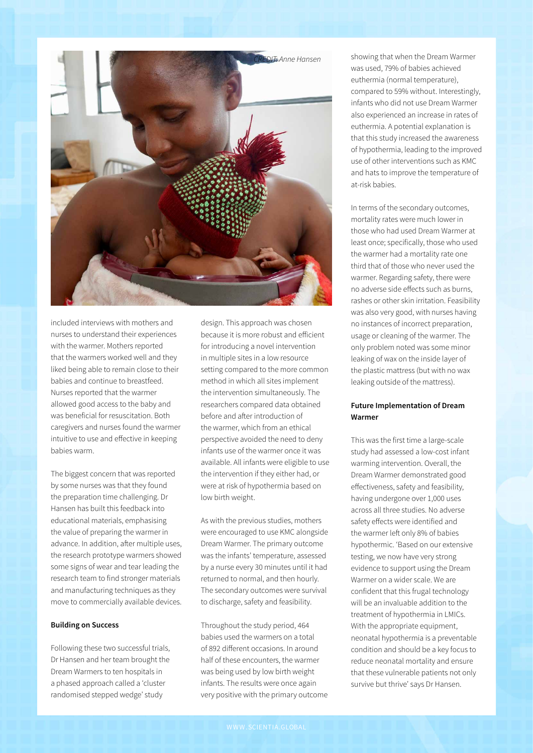

included interviews with mothers and nurses to understand their experiences with the warmer. Mothers reported that the warmers worked well and they liked being able to remain close to their babies and continue to breastfeed. Nurses reported that the warmer allowed good access to the baby and was beneficial for resuscitation. Both caregivers and nurses found the warmer intuitive to use and effective in keeping babies warm.

The biggest concern that was reported by some nurses was that they found the preparation time challenging. Dr Hansen has built this feedback into educational materials, emphasising the value of preparing the warmer in advance. In addition, after multiple uses, the research prototype warmers showed some signs of wear and tear leading the research team to find stronger materials and manufacturing techniques as they move to commercially available devices.

## **Building on Success**

Following these two successful trials, Dr Hansen and her team brought the Dream Warmers to ten hospitals in a phased approach called a 'cluster randomised stepped wedge' study

design. This approach was chosen because it is more robust and efficient for introducing a novel intervention in multiple sites in a low resource setting compared to the more common method in which all sites implement the intervention simultaneously. The researchers compared data obtained before and after introduction of the warmer, which from an ethical perspective avoided the need to deny infants use of the warmer once it was available. All infants were eligible to use the intervention if they either had, or were at risk of hypothermia based on low birth weight.

As with the previous studies, mothers were encouraged to use KMC alongside Dream Warmer. The primary outcome was the infants' temperature, assessed by a nurse every 30 minutes until it had returned to normal, and then hourly. The secondary outcomes were survival to discharge, safety and feasibility.

Throughout the study period, 464 babies used the warmers on a total of 892 different occasions. In around half of these encounters, the warmer was being used by low birth weight infants. The results were once again very positive with the primary outcome showing that when the Dream Warmer was used, 79% of babies achieved euthermia (normal temperature), compared to 59% without. Interestingly, infants who did not use Dream Warmer also experienced an increase in rates of euthermia. A potential explanation is that this study increased the awareness of hypothermia, leading to the improved use of other interventions such as KMC and hats to improve the temperature of at-risk babies.

In terms of the secondary outcomes, mortality rates were much lower in those who had used Dream Warmer at least once; specifically, those who used the warmer had a mortality rate one third that of those who never used the warmer. Regarding safety, there were no adverse side effects such as burns, rashes or other skin irritation. Feasibility was also very good, with nurses having no instances of incorrect preparation, usage or cleaning of the warmer. The only problem noted was some minor leaking of wax on the inside layer of the plastic mattress (but with no wax leaking outside of the mattress).

# **Future Implementation of Dream Warmer**

This was the first time a large-scale study had assessed a low-cost infant warming intervention. Overall, the Dream Warmer demonstrated good effectiveness, safety and feasibility, having undergone over 1,000 uses across all three studies. No adverse safety effects were identified and the warmer left only 8% of babies hypothermic. 'Based on our extensive testing, we now have very strong evidence to support using the Dream Warmer on a wider scale. We are confident that this frugal technology will be an invaluable addition to the treatment of hypothermia in LMICs. With the appropriate equipment, neonatal hypothermia is a preventable condition and should be a key focus to reduce neonatal mortality and ensure that these vulnerable patients not only survive but thrive' says Dr Hansen.